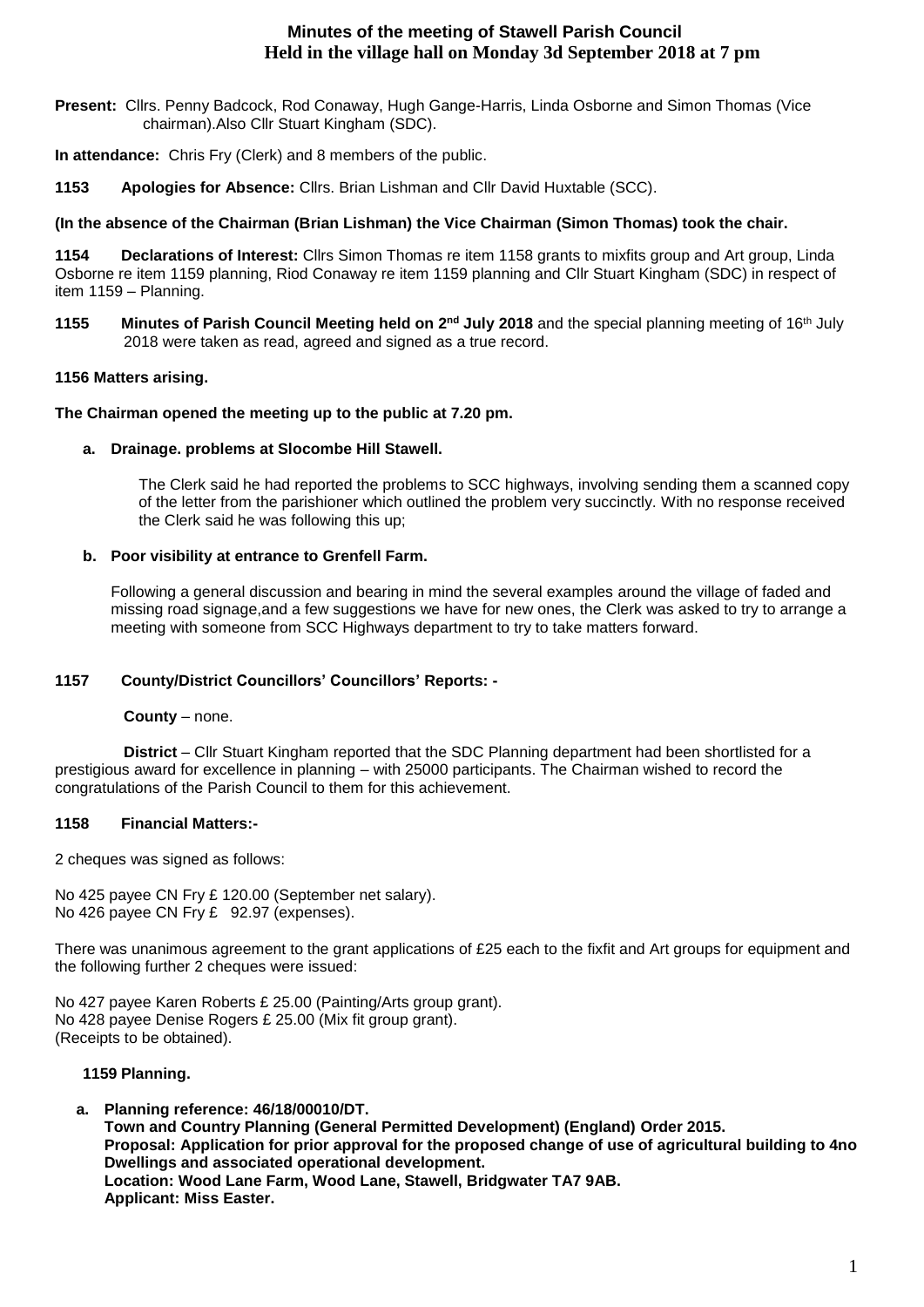# **Minutes of the meeting of Stawell Parish Council Held in the village hall on Monday 3d September 2018 at 7 pm**

**Present:** Cllrs. Penny Badcock, Rod Conaway, Hugh Gange-Harris, Linda Osborne and Simon Thomas (Vice chairman).Also Cllr Stuart Kingham (SDC).

**In attendance:** Chris Fry (Clerk) and 8 members of the public.

**1153 Apologies for Absence:** Cllrs. Brian Lishman and Cllr David Huxtable (SCC).

## **(In the absence of the Chairman (Brian Lishman) the Vice Chairman (Simon Thomas) took the chair.**

**1154 Declarations of Interest:** Cllrs Simon Thomas re item 1158 grants to mixfits group and Art group, Linda Osborne re item 1159 planning, Riod Conaway re item 1159 planning and Cllr Stuart Kingham (SDC) in respect of item 1159 – Planning.

**1155 Minutes of Parish Council Meeting held on 2 nd July 2018** and the special planning meeting of 16th July 2018 were taken as read, agreed and signed as a true record.

## **1156 Matters arising.**

## **The Chairman opened the meeting up to the public at 7.20 pm.**

## **a. Drainage. problems at Slocombe Hill Stawell.**

The Clerk said he had reported the problems to SCC highways, involving sending them a scanned copy of the letter from the parishioner which outlined the problem very succinctly. With no response received the Clerk said he was following this up;

## **b. Poor visibility at entrance to Grenfell Farm.**

Following a general discussion and bearing in mind the several examples around the village of faded and missing road signage,and a few suggestions we have for new ones, the Clerk was asked to try to arrange a meeting with someone from SCC Highways department to try to take matters forward.

## **1157 County/District Councillors' Councillors' Reports: -**

## **County** – none.

 **District** – Cllr Stuart Kingham reported that the SDC Planning department had been shortlisted for a prestigious award for excellence in planning – with 25000 participants. The Chairman wished to record the congratulations of the Parish Council to them for this achievement.

## **1158 Financial Matters:-**

2 cheques was signed as follows:

No 425 payee CN Fry £ 120.00 (September net salary). No 426 payee CN Fry £ 92.97 (expenses).

There was unanimous agreement to the grant applications of £25 each to the fixfit and Art groups for equipment and the following further 2 cheques were issued:

No 427 payee Karen Roberts £ 25.00 (Painting/Arts group grant). No 428 payee Denise Rogers £ 25.00 (Mix fit group grant). (Receipts to be obtained).

## **1159 Planning.**

**a. Planning reference: 46/18/00010/DT. Town and Country Planning (General Permitted Development) (England) Order 2015. Proposal: Application for prior approval for the proposed change of use of agricultural building to 4no Dwellings and associated operational development. Location: Wood Lane Farm, Wood Lane, Stawell, Bridgwater TA7 9AB. Applicant: Miss Easter.**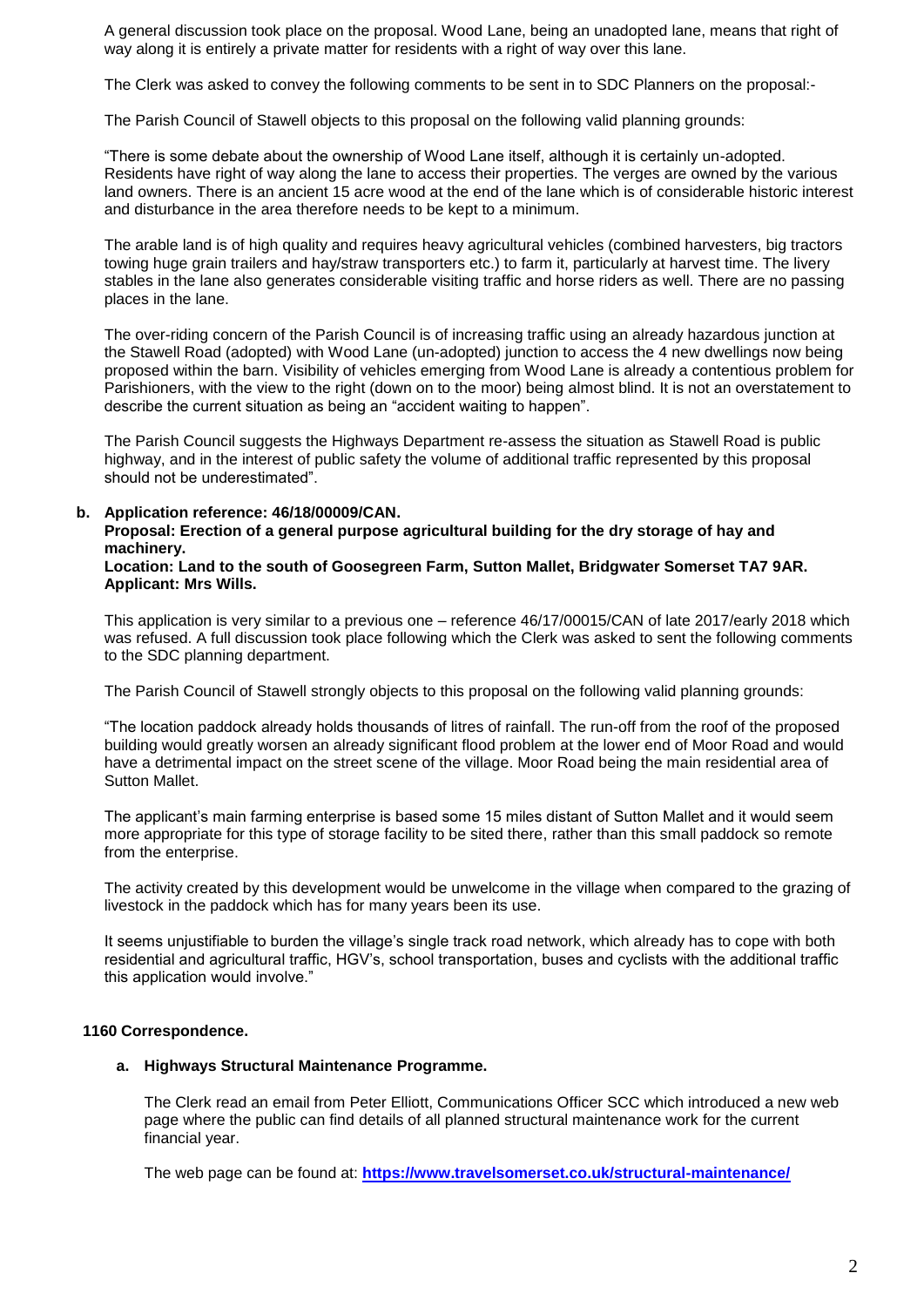A general discussion took place on the proposal. Wood Lane, being an unadopted lane, means that right of way along it is entirely a private matter for residents with a right of way over this lane.

The Clerk was asked to convey the following comments to be sent in to SDC Planners on the proposal:-

The Parish Council of Stawell objects to this proposal on the following valid planning grounds:

"There is some debate about the ownership of Wood Lane itself, although it is certainly un-adopted. Residents have right of way along the lane to access their properties. The verges are owned by the various land owners. There is an ancient 15 acre wood at the end of the lane which is of considerable historic interest and disturbance in the area therefore needs to be kept to a minimum.

The arable land is of high quality and requires heavy agricultural vehicles (combined harvesters, big tractors towing huge grain trailers and hay/straw transporters etc.) to farm it, particularly at harvest time. The livery stables in the lane also generates considerable visiting traffic and horse riders as well. There are no passing places in the lane.

The over-riding concern of the Parish Council is of increasing traffic using an already hazardous junction at the Stawell Road (adopted) with Wood Lane (un-adopted) junction to access the 4 new dwellings now being proposed within the barn. Visibility of vehicles emerging from Wood Lane is already a contentious problem for Parishioners, with the view to the right (down on to the moor) being almost blind. It is not an overstatement to describe the current situation as being an "accident waiting to happen".

The Parish Council suggests the Highways Department re-assess the situation as Stawell Road is public highway, and in the interest of public safety the volume of additional traffic represented by this proposal should not be underestimated".

#### **b. Application reference: 46/18/00009/CAN.**

#### **Proposal: Erection of a general purpose agricultural building for the dry storage of hay and machinery.**

**Location: Land to the south of Goosegreen Farm, Sutton Mallet, Bridgwater Somerset TA7 9AR. Applicant: Mrs Wills.**

This application is very similar to a previous one – reference 46/17/00015/CAN of late 2017/early 2018 which was refused. A full discussion took place following which the Clerk was asked to sent the following comments to the SDC planning department.

The Parish Council of Stawell strongly objects to this proposal on the following valid planning grounds:

"The location paddock already holds thousands of litres of rainfall. The run-off from the roof of the proposed building would greatly worsen an already significant flood problem at the lower end of Moor Road and would have a detrimental impact on the street scene of the village. Moor Road being the main residential area of Sutton Mallet.

The applicant's main farming enterprise is based some 15 miles distant of Sutton Mallet and it would seem more appropriate for this type of storage facility to be sited there, rather than this small paddock so remote from the enterprise.

The activity created by this development would be unwelcome in the village when compared to the grazing of livestock in the paddock which has for many years been its use.

It seems unjustifiable to burden the village's single track road network, which already has to cope with both residential and agricultural traffic, HGV's, school transportation, buses and cyclists with the additional traffic this application would involve."

## **1160 Correspondence.**

#### **a. Highways Structural Maintenance Programme.**

The Clerk read an email from Peter Elliott, Communications Officer SCC which introduced a new web page where the public can find details of all planned structural maintenance work for the current financial year.

The web page can be found at: **<https://www.travelsomerset.co.uk/structural-maintenance/>**